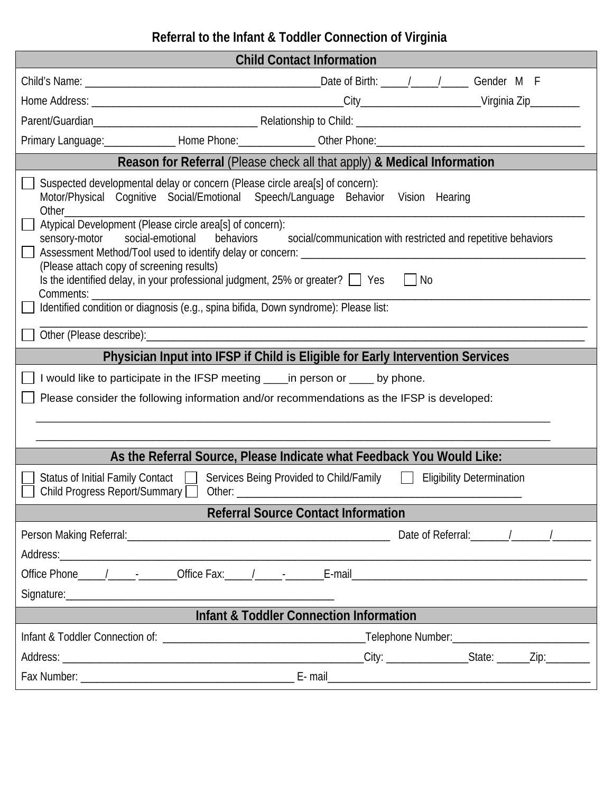## **Referral to the Infant & Toddler Connection of Virginia**

| <b>Child Contact Information</b>                                                                                                                                                                                                                                                                                                                                                                                                                                                                                                                                                               |  |  |
|------------------------------------------------------------------------------------------------------------------------------------------------------------------------------------------------------------------------------------------------------------------------------------------------------------------------------------------------------------------------------------------------------------------------------------------------------------------------------------------------------------------------------------------------------------------------------------------------|--|--|
|                                                                                                                                                                                                                                                                                                                                                                                                                                                                                                                                                                                                |  |  |
|                                                                                                                                                                                                                                                                                                                                                                                                                                                                                                                                                                                                |  |  |
|                                                                                                                                                                                                                                                                                                                                                                                                                                                                                                                                                                                                |  |  |
| Primary Language: ________________Home Phone: ________________Other Phone: ___________________________________                                                                                                                                                                                                                                                                                                                                                                                                                                                                                 |  |  |
| Reason for Referral (Please check all that apply) & Medical Information                                                                                                                                                                                                                                                                                                                                                                                                                                                                                                                        |  |  |
| Suspected developmental delay or concern (Please circle area[s] of concern):<br>Motor/Physical Cognitive Social/Emotional Speech/Language Behavior Vision Hearing<br>Atypical Development (Please circle area[s] of concern):<br>sensory-motor social-emotional<br>behaviors social/communication with restricted and repetitive behaviors<br>(Please attach copy of screening results)<br>Is the identified delay, in your professional judgment, 25% or greater? $\Box$ Yes<br>$\Box$ No<br>Comments:<br>Identified condition or diagnosis (e.g., spina bifida, Down syndrome): Please list: |  |  |
|                                                                                                                                                                                                                                                                                                                                                                                                                                                                                                                                                                                                |  |  |
| Physician Input into IFSP if Child is Eligible for Early Intervention Services                                                                                                                                                                                                                                                                                                                                                                                                                                                                                                                 |  |  |
| I would like to participate in the IFSP meeting _____ in person or _____ by phone.<br>Please consider the following information and/or recommendations as the IFSP is developed:                                                                                                                                                                                                                                                                                                                                                                                                               |  |  |
| As the Referral Source, Please Indicate what Feedback You Would Like:                                                                                                                                                                                                                                                                                                                                                                                                                                                                                                                          |  |  |
| Status of Initial Family Contact   Services Being Provided to Child/Family   Eligibility Determination<br>Child Progress Report/Summary<br>Other:                                                                                                                                                                                                                                                                                                                                                                                                                                              |  |  |
| <b>Referral Source Contact Information</b>                                                                                                                                                                                                                                                                                                                                                                                                                                                                                                                                                     |  |  |
|                                                                                                                                                                                                                                                                                                                                                                                                                                                                                                                                                                                                |  |  |
|                                                                                                                                                                                                                                                                                                                                                                                                                                                                                                                                                                                                |  |  |
|                                                                                                                                                                                                                                                                                                                                                                                                                                                                                                                                                                                                |  |  |
|                                                                                                                                                                                                                                                                                                                                                                                                                                                                                                                                                                                                |  |  |
| <b>Infant &amp; Toddler Connection Information</b>                                                                                                                                                                                                                                                                                                                                                                                                                                                                                                                                             |  |  |
|                                                                                                                                                                                                                                                                                                                                                                                                                                                                                                                                                                                                |  |  |
|                                                                                                                                                                                                                                                                                                                                                                                                                                                                                                                                                                                                |  |  |
|                                                                                                                                                                                                                                                                                                                                                                                                                                                                                                                                                                                                |  |  |